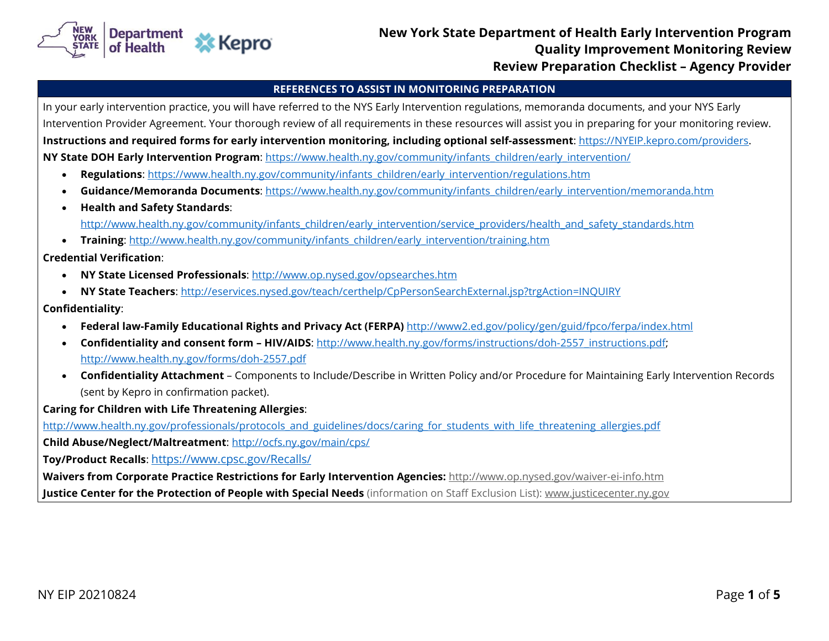

## **New York State Department of Health Early Intervention Program Example 20 All State Bepartment of Health Larry Intervention Frogram Carl State Ave** Duality Improvement Monitoring Review **Review Preparation Checklist – Agency Provider**

#### **REFERENCES TO ASSIST IN MONITORING PREPARATION**

In your early intervention practice, you will have referred to the NYS Early Intervention regulations, memoranda documents, and your NYS Early Intervention Provider Agreement. Your thorough review of all requirements in these resources will assist you in preparing for your monitoring review. **Instructions and required forms for early intervention monitoring, including optional self-assessment**: [https://NYEIP.kepro.com/providers](https://nyeip.kepro.com/providers). **NY State DOH Early Intervention Program**: [https://www.health.ny.gov/community/infants\\_children/early\\_intervention/](https://www.health.ny.gov/community/infants_children/early_intervention/)

- **Regulations**: [https://www.health.ny.gov/community/infants\\_children/early\\_intervention/regulations.htm](https://www.health.ny.gov/community/infants_children/early_intervention/regulations.htm)
- **Guidance/Memoranda Documents**[: https://www.health.ny.gov/community/infants\\_children/early\\_intervention/memoranda.htm](https://www.health.ny.gov/community/infants_children/early_intervention/memoranda.htm)
- **Health and Safety Standards**: [http://www.health.ny.gov/community/infants\\_children/early\\_intervention/service\\_providers/health\\_and\\_safety\\_standards.htm](http://www.health.state.ny.us/community/infants_children/early_intervention/service_providers/health_and_safety_standards.htm)
- **Training:** [http://www.health.ny.gov/community/infants\\_children/early\\_intervention/training.htm](http://www.health.state.ny.us/community/infants_children/early_intervention/training.htm)

**Credential Verification**:

- **NY State Licensed Professionals**:<http://www.op.nysed.gov/opsearches.htm>
- **NY State Teachers**:<http://eservices.nysed.gov/teach/certhelp/CpPersonSearchExternal.jsp?trgAction=INQUIRY>

#### **Confidentiality**:

- **Federal law-Family Educational Rights and Privacy Act (FERPA)** <http://www2.ed.gov/policy/gen/guid/fpco/ferpa/index.html>
- **Confidentiality and consent form HIV/AIDS**: [http://www.health.ny.gov/forms/instructions/doh-2557\\_instructions.pdf;](http://www.health.ny.gov/forms/instructions/doh-2557_instructions.pdf) <http://www.health.ny.gov/forms/doh-2557.pdf>
- **Confidentiality Attachment** Components to Include/Describe in Written Policy and/or Procedure for Maintaining Early Intervention Records (sent by Kepro in confirmation packet).

**Caring for Children with Life Threatening Allergies**:

[http://www.health.ny.gov/professionals/protocols\\_and\\_guidelines/docs/caring\\_for\\_students\\_with\\_life\\_threatening\\_allergies.pdf](http://www.health.state.ny.us/professionals/protocols_and_guidelines/docs/caring_for_students_with_life_threatening_allergies.pdf)

**Child Abuse/Neglect/Maltreatment**:<http://ocfs.ny.gov/main/cps/>

**Toy/Product Recalls**: <https://www.cpsc.gov/Recalls/>

**Waivers from Corporate Practice Restrictions for Early Intervention Agencies:** <http://www.op.nysed.gov/waiver-ei-info.htm>

**Justice Center for the Protection of People with Special Needs** (information on Staff Exclusion List): [www.justicecenter.ny.gov](http://www.justicecenter.ny.gov/)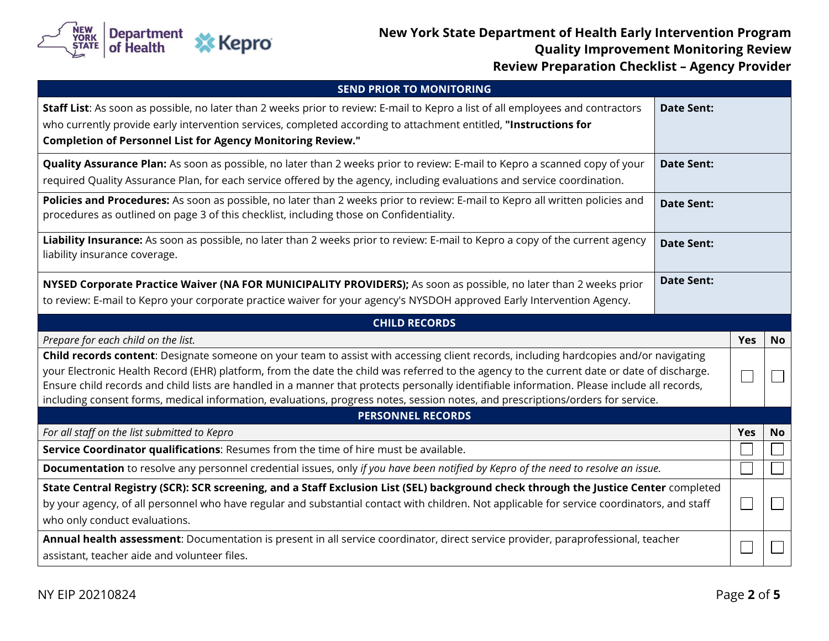

# **New York State Department of Health Early Intervention Program CALC THE STATE OF PROPERTY IN STATE IS A READ OF STATE OF A READ OF A READ OF A READ OF A READ STATE OF A REA**<br>Quality Improvement Monitoring Review **Review Preparation Checklist – Agency Provider**

| <b>SEND PRIOR TO MONITORING</b>                                                                                                                                                                                                                                                                                                                                                                                                                                                                                                                                       |                   |            |           |
|-----------------------------------------------------------------------------------------------------------------------------------------------------------------------------------------------------------------------------------------------------------------------------------------------------------------------------------------------------------------------------------------------------------------------------------------------------------------------------------------------------------------------------------------------------------------------|-------------------|------------|-----------|
| Staff List: As soon as possible, no later than 2 weeks prior to review: E-mail to Kepro a list of all employees and contractors<br>who currently provide early intervention services, completed according to attachment entitled, "Instructions for<br><b>Completion of Personnel List for Agency Monitoring Review."</b>                                                                                                                                                                                                                                             | <b>Date Sent:</b> |            |           |
| Quality Assurance Plan: As soon as possible, no later than 2 weeks prior to review: E-mail to Kepro a scanned copy of your<br>required Quality Assurance Plan, for each service offered by the agency, including evaluations and service coordination.                                                                                                                                                                                                                                                                                                                | <b>Date Sent:</b> |            |           |
| Policies and Procedures: As soon as possible, no later than 2 weeks prior to review: E-mail to Kepro all written policies and<br>procedures as outlined on page 3 of this checklist, including those on Confidentiality.                                                                                                                                                                                                                                                                                                                                              | <b>Date Sent:</b> |            |           |
| Liability Insurance: As soon as possible, no later than 2 weeks prior to review: E-mail to Kepro a copy of the current agency<br>liability insurance coverage.                                                                                                                                                                                                                                                                                                                                                                                                        | <b>Date Sent:</b> |            |           |
| NYSED Corporate Practice Waiver (NA FOR MUNICIPALITY PROVIDERS); As soon as possible, no later than 2 weeks prior                                                                                                                                                                                                                                                                                                                                                                                                                                                     | <b>Date Sent:</b> |            |           |
| to review: E-mail to Kepro your corporate practice waiver for your agency's NYSDOH approved Early Intervention Agency.                                                                                                                                                                                                                                                                                                                                                                                                                                                |                   |            |           |
| <b>CHILD RECORDS</b>                                                                                                                                                                                                                                                                                                                                                                                                                                                                                                                                                  |                   |            |           |
| Prepare for each child on the list.                                                                                                                                                                                                                                                                                                                                                                                                                                                                                                                                   |                   | <b>Yes</b> | <b>No</b> |
| Child records content: Designate someone on your team to assist with accessing client records, including hardcopies and/or navigating<br>your Electronic Health Record (EHR) platform, from the date the child was referred to the agency to the current date or date of discharge.<br>Ensure child records and child lists are handled in a manner that protects personally identifiable information. Please include all records,<br>including consent forms, medical information, evaluations, progress notes, session notes, and prescriptions/orders for service. |                   |            |           |
| <b>PERSONNEL RECORDS</b>                                                                                                                                                                                                                                                                                                                                                                                                                                                                                                                                              |                   |            |           |
| For all staff on the list submitted to Kepro                                                                                                                                                                                                                                                                                                                                                                                                                                                                                                                          |                   | <b>Yes</b> | <b>No</b> |
| Service Coordinator qualifications: Resumes from the time of hire must be available.                                                                                                                                                                                                                                                                                                                                                                                                                                                                                  |                   |            |           |
| Documentation to resolve any personnel credential issues, only if you have been notified by Kepro of the need to resolve an issue.                                                                                                                                                                                                                                                                                                                                                                                                                                    |                   |            |           |
| State Central Registry (SCR): SCR screening, and a Staff Exclusion List (SEL) background check through the Justice Center completed<br>by your agency, of all personnel who have regular and substantial contact with children. Not applicable for service coordinators, and staff<br>who only conduct evaluations.                                                                                                                                                                                                                                                   |                   |            |           |
| Annual health assessment: Documentation is present in all service coordinator, direct service provider, paraprofessional, teacher<br>assistant, teacher aide and volunteer files.                                                                                                                                                                                                                                                                                                                                                                                     |                   |            |           |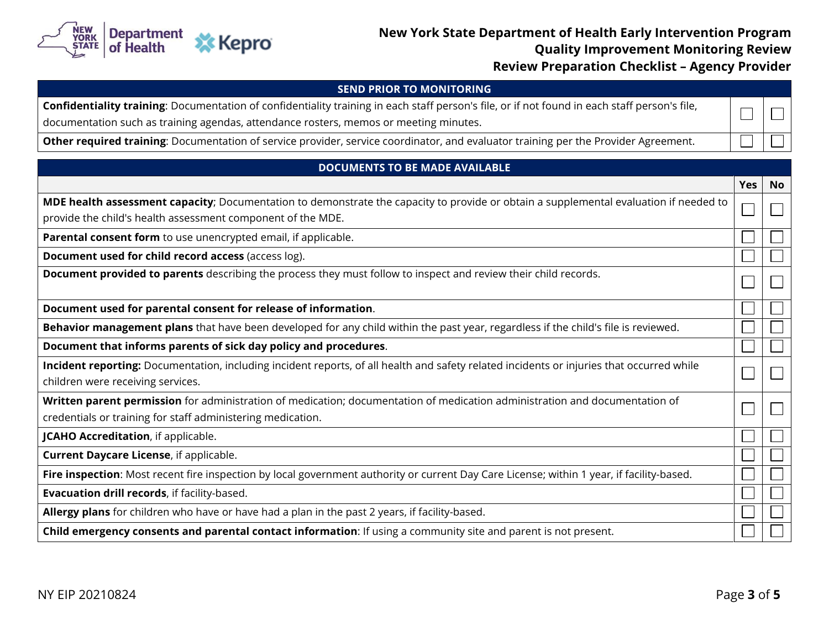

## **New York State Department of Health Early Intervention Program CONSTRANS CALLS AND THE CONFERENCE AND THE CONFERENCE AND THE CONFERENCE AND REVIEW AND REVIEW AND REVIEW AND Review Preparation Checklist – Agency Provider**

### **SEND PRIOR TO MONITORING**

|  | Confidentiality training: Documentation of confidentiality training in each staff person's file, or if not found in each staff person's file, |  |
|--|-----------------------------------------------------------------------------------------------------------------------------------------------|--|
|  |                                                                                                                                               |  |

documentation such as training agendas, attendance rosters, memos or meeting minutes.

**Other required training**: Documentation of service provider, service coordinator, and evaluator training per the Provider Agreement.

### **DOCUMENTS TO BE MADE AVAILABLE**

|                                                                                                                                           | <b>Yes</b> | <b>No</b> |
|-------------------------------------------------------------------------------------------------------------------------------------------|------------|-----------|
| MDE health assessment capacity; Documentation to demonstrate the capacity to provide or obtain a supplemental evaluation if needed to     |            |           |
| provide the child's health assessment component of the MDE.                                                                               |            |           |
| Parental consent form to use unencrypted email, if applicable.                                                                            |            |           |
| Document used for child record access (access log).                                                                                       |            |           |
| Document provided to parents describing the process they must follow to inspect and review their child records.                           |            |           |
| Document used for parental consent for release of information.                                                                            |            |           |
| Behavior management plans that have been developed for any child within the past year, regardless if the child's file is reviewed.        |            |           |
| Document that informs parents of sick day policy and procedures.                                                                          |            |           |
| Incident reporting: Documentation, including incident reports, of all health and safety related incidents or injuries that occurred while |            |           |
| children were receiving services.                                                                                                         |            |           |
| Written parent permission for administration of medication; documentation of medication administration and documentation of               |            |           |
| credentials or training for staff administering medication.                                                                               |            |           |
| <b>JCAHO Accreditation</b> , if applicable.                                                                                               |            |           |
| Current Daycare License, if applicable.                                                                                                   |            |           |
| Fire inspection: Most recent fire inspection by local government authority or current Day Care License; within 1 year, if facility-based. |            |           |
| Evacuation drill records, if facility-based.                                                                                              |            |           |
| Allergy plans for children who have or have had a plan in the past 2 years, if facility-based.                                            |            |           |
| Child emergency consents and parental contact information: If using a community site and parent is not present.                           |            |           |

 $\frac{1}{2}$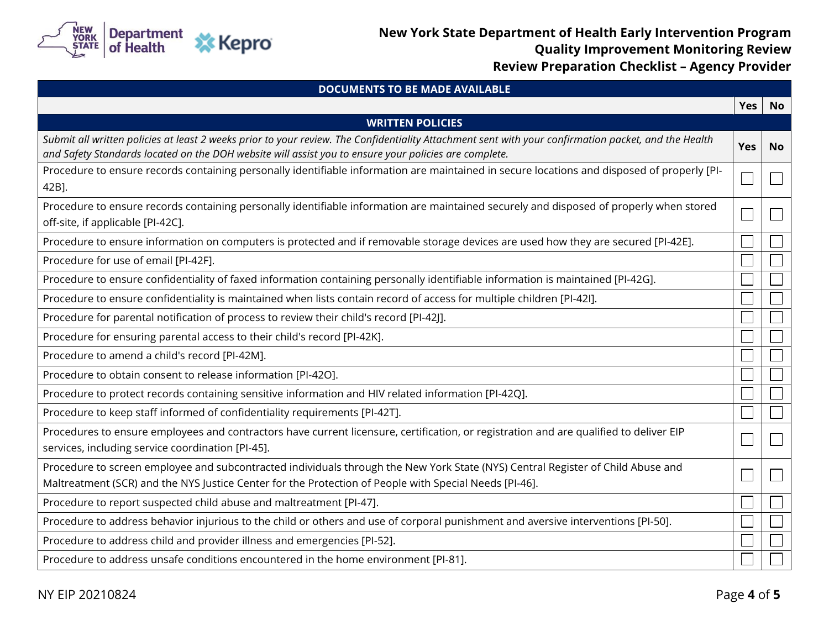

# **New York State Department of Health Early Intervention Program All Strate Department of Health Early Intervention Program**<br>Quality Improvement Monitoring Review **Review Preparation Checklist – Agency Provider**

| <b>DOCUMENTS TO BE MADE AVAILABLE</b>                                                                                                                                                                                                                         |            |           |
|---------------------------------------------------------------------------------------------------------------------------------------------------------------------------------------------------------------------------------------------------------------|------------|-----------|
|                                                                                                                                                                                                                                                               | <b>Yes</b> | <b>No</b> |
| <b>WRITTEN POLICIES</b>                                                                                                                                                                                                                                       |            |           |
| Submit all written policies at least 2 weeks prior to your review. The Confidentiality Attachment sent with your confirmation packet, and the Health<br>and Safety Standards located on the DOH website will assist you to ensure your policies are complete. | Yes        | <b>No</b> |
| Procedure to ensure records containing personally identifiable information are maintained in secure locations and disposed of properly [PI-<br>42B].                                                                                                          |            |           |
| Procedure to ensure records containing personally identifiable information are maintained securely and disposed of properly when stored<br>off-site, if applicable [PI-42C].                                                                                  |            |           |
| Procedure to ensure information on computers is protected and if removable storage devices are used how they are secured [PI-42E].                                                                                                                            |            |           |
| Procedure for use of email [PI-42F].                                                                                                                                                                                                                          |            |           |
| Procedure to ensure confidentiality of faxed information containing personally identifiable information is maintained [PI-42G].                                                                                                                               |            |           |
| Procedure to ensure confidentiality is maintained when lists contain record of access for multiple children [PI-42I].                                                                                                                                         |            |           |
| Procedure for parental notification of process to review their child's record [PI-42]].                                                                                                                                                                       |            |           |
| Procedure for ensuring parental access to their child's record [PI-42K].                                                                                                                                                                                      |            |           |
| Procedure to amend a child's record [PI-42M].                                                                                                                                                                                                                 |            |           |
| Procedure to obtain consent to release information [PI-42O].                                                                                                                                                                                                  |            |           |
| Procedure to protect records containing sensitive information and HIV related information [PI-42Q].                                                                                                                                                           |            |           |
| Procedure to keep staff informed of confidentiality requirements [PI-42T].                                                                                                                                                                                    |            |           |
| Procedures to ensure employees and contractors have current licensure, certification, or registration and are qualified to deliver EIP<br>services, including service coordination [PI-45].                                                                   |            |           |
| Procedure to screen employee and subcontracted individuals through the New York State (NYS) Central Register of Child Abuse and<br>Maltreatment (SCR) and the NYS Justice Center for the Protection of People with Special Needs [PI-46].                     |            |           |
| Procedure to report suspected child abuse and maltreatment [PI-47].                                                                                                                                                                                           |            |           |
| Procedure to address behavior injurious to the child or others and use of corporal punishment and aversive interventions [PI-50].                                                                                                                             |            |           |
| Procedure to address child and provider illness and emergencies [PI-52].                                                                                                                                                                                      |            |           |
| Procedure to address unsafe conditions encountered in the home environment [PI-81].                                                                                                                                                                           |            |           |